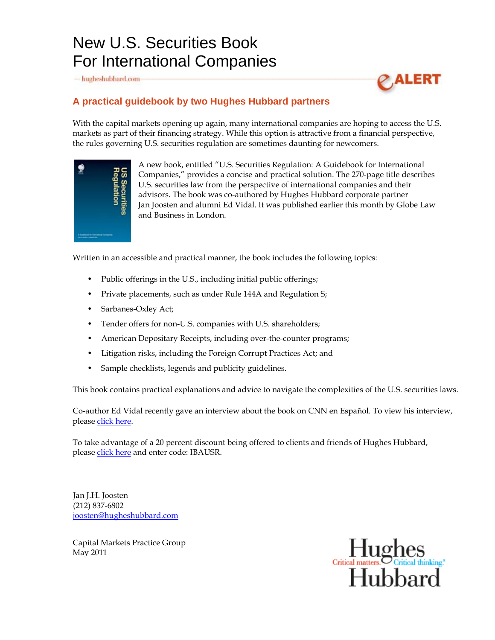## New U.S. Securities Book For International Companies

- hugheshubbard.com



## **A practical guidebook by two Hughes Hubbard partners**

With the capital markets opening up again, many international companies are hoping to access the U.S. markets as part of their financing strategy. While this option is attractive from a financial perspective, the rules governing U.S. securities regulation are sometimes daunting for newcomers.



A new book, entitled "U.S. Securities Regulation: A Guidebook for International Companies," provides a concise and practical solution. The 270-page title describes U.S. securities law from the perspective of international companies and their advisors. The book was co-authored by Hughes Hubbard corporate partner Jan Joosten and alumni Ed Vidal. It was published earlier this month by Globe Law and Business in London.

Written in an accessible and practical manner, the book includes the following topics:

- Public offerings in the U.S., including initial public offerings;
- Private placements, such as under Rule 144A and Regulation S;
- Sarbanes-Oxley Act;
- Tender offers for non-U.S. companies with U.S. shareholders;
- American Depositary Receipts, including over-the-counter programs;
- Litigation risks, including the Foreign Corrupt Practices Act; and
- Sample checklists, legends and publicity guidelines.

[This book contains practical explanations and advice to navigate the complexities of the U.S. securities la](http://www.hugheshubbard.com/)ws.

Co-author Ed Vidal recently gave an interview about the book on CNN en Español. To view his interview, please [click here.](http://videovault.hugheshubbard.com/rulesoflaw/)

To take advantage of a 20 percent discount being offered to clients and friends of Hughes Hubbard, please [click here](http://www.globelawandbusiness.com/USR) and enter code: IBAUSR.

Jan J.H. Joosten (212) 837-6802 [joosten@hugheshubbard.com](mailto:joosten@hugheshubbard.com)

Capital Markets Practice Group May 2011